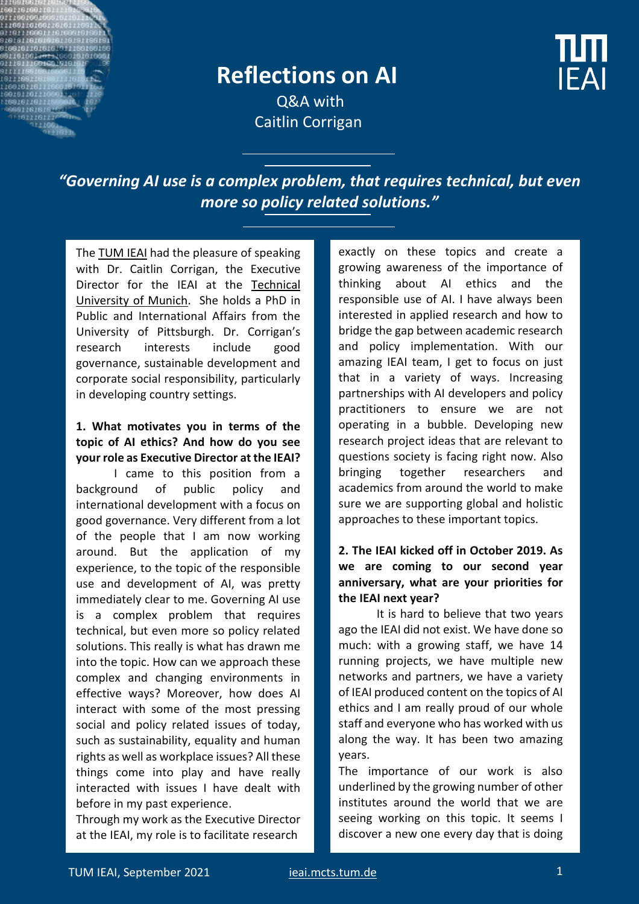

## **Reflections on AI**

**IFAI** 

Q&A with Caitlin Corrigan

*"Governing AI use is a complex problem, that requires technical, but even more so policy related solutions."*

Th[e TUM IEAI](https://ieai.mcts.tum.de/) had the pleasure of speaking with Dr. Caitlin Corrigan, the Executive Director for the IEAI at the [Technical](https://www.tum.de/)  [University of Munich.](https://www.tum.de/) She holds a PhD in Public and International Affairs from the University of Pittsburgh. Dr. Corrigan's research interests include good governance, sustainable development and corporate social responsibility, particularly in developing country settings.

### **1. What motivates you in terms of the topic of AI ethics? And how do you see your role as Executive Director at the IEAI?**

I came to this position from a background of public policy and international development with a focus on good governance. Very different from a lot of the people that I am now working around. But the application of my experience, to the topic of the responsible use and development of AI, was pretty immediately clear to me. Governing AI use is a complex problem that requires technical, but even more so policy related solutions. This really is what has drawn me into the topic. How can we approach these complex and changing environments in effective ways? Moreover, how does AI interact with some of the most pressing social and policy related issues of today, such as sustainability, equality and human rights as well as workplace issues? All these things come into play and have really interacted with issues I have dealt with before in my past experience.

Through my work as the Executive Director at the IEAI, my role is to facilitate research

exactly on these topics and create a growing awareness of the importance of thinking about AI ethics and the responsible use of AI. I have always been interested in applied research and how to bridge the gap between academic research and policy implementation. With our amazing IEAI team, I get to focus on just that in a variety of ways. Increasing partnerships with AI developers and policy practitioners to ensure we are not operating in a bubble. Developing new research project ideas that are relevant to questions society is facing right now. Also bringing together researchers and academics from around the world to make sure we are supporting global and holistic approaches to these important topics.

### **2. The IEAI kicked off in October 2019. As we are coming to our second year anniversary, what are your priorities for the IEAI next year?**

It is hard to believe that two years ago the IEAI did not exist. We have done so much: with a growing staff, we have 14 running projects, we have multiple new networks and partners, we have a variety of IEAI produced content on the topics of AI ethics and I am really proud of our whole staff and everyone who has worked with us along the way. It has been two amazing years.

The importance of our work is also underlined by the growing number of other institutes around the world that we are seeing working on this topic. It seems I discover a new one every day that is doing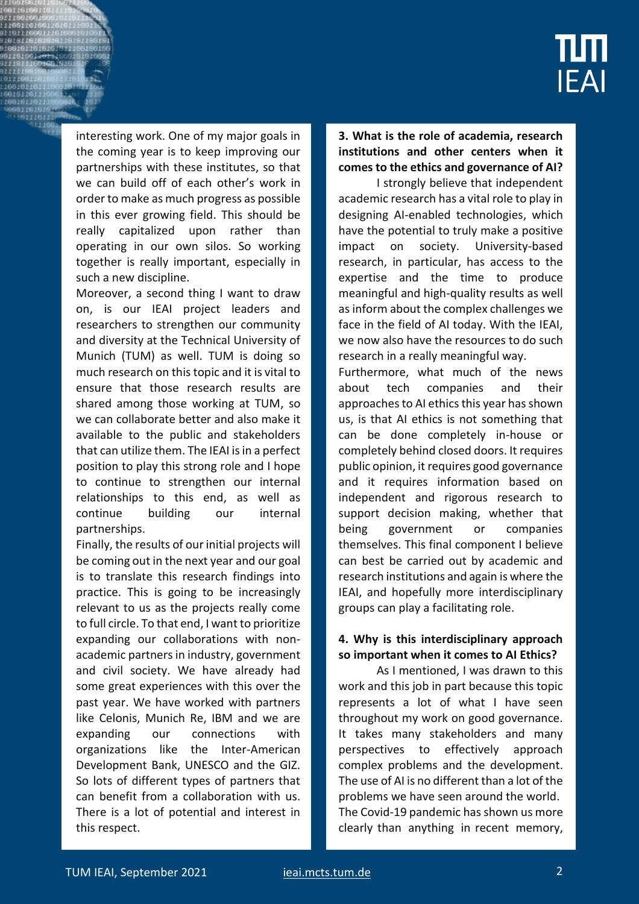

interesting work. One of my major goals in the coming year is to keep improving our partnerships with these institutes, so that we can build off of each other's work in order to make as much progress as possible in this ever growing field. This should be really capitalized upon rather than operating in our own silos. So working together is really important, especially in such a new discipline.

Moreover, a second thing I want to draw on, is our IEAI project leaders and researchers to strengthen our community and diversity at the Technical University of Munich (TUM) as well. TUM is doing so much research on this topic and it is vital to ensure that those research results are shared among those working at TUM, so we can collaborate better and also make it available to the public and stakeholders that can utilize them. The IEAI is in a perfect position to play this strong role and I hope to continue to strengthen our internal relationships to this end, as well as continue building our internal partnerships.

Finally, the results of our initial projects will be coming out in the next year and our goal is to translate this research findings into practice. This is going to be increasingly relevant to us as the projects really come to full circle. To that end, I want to prioritize expanding our collaborations with nonacademic partners in industry, government and civil society. We have already had some great experiences with this over the past year. We have worked with partners like Celonis, Munich Re, IBM and we are expanding our connections with organizations like the Inter-American Development Bank, UNESCO and the GIZ. So lots of different types of partners that can benefit from a collaboration with us. There is a lot of potential and interest in this respect.

**3. What is the role of academia, research institutions and other centers when it comes to the ethics and governance of AI?**

I strongly believe that independent academic research has a vital role to play in designing AI-enabled technologies, which have the potential to truly make a positive impact on society. University-based research, in particular, has access to the expertise and the time to produce meaningful and high-quality results as well asinform about the complex challenges we face in the field of AI today. With the IEAI, we now also have the resources to do such research in a really meaningful way.

Furthermore, what much of the news about tech companies and their approaches to AI ethics this year has shown us, is that AI ethics is not something that can be done completely in-house or completely behind closed doors. It requires public opinion, it requires good governance and it requires information based on independent and rigorous research to support decision making, whether that being government or companies themselves. This final component I believe can best be carried out by academic and research institutions and again is where the IEAI, and hopefully more interdisciplinary groups can play a facilitating role.

### **4. Why is this interdisciplinary approach so important when it comes to AI Ethics?**

As I mentioned, I was drawn to this work and this job in part because this topic represents a lot of what I have seen throughout my work on good governance. It takes many stakeholders and many perspectives to effectively approach complex problems and the development. The use of AI is no different than a lot of the problems we have seen around the world. The Covid-19 pandemic has shown us more clearly than anything in recent memory,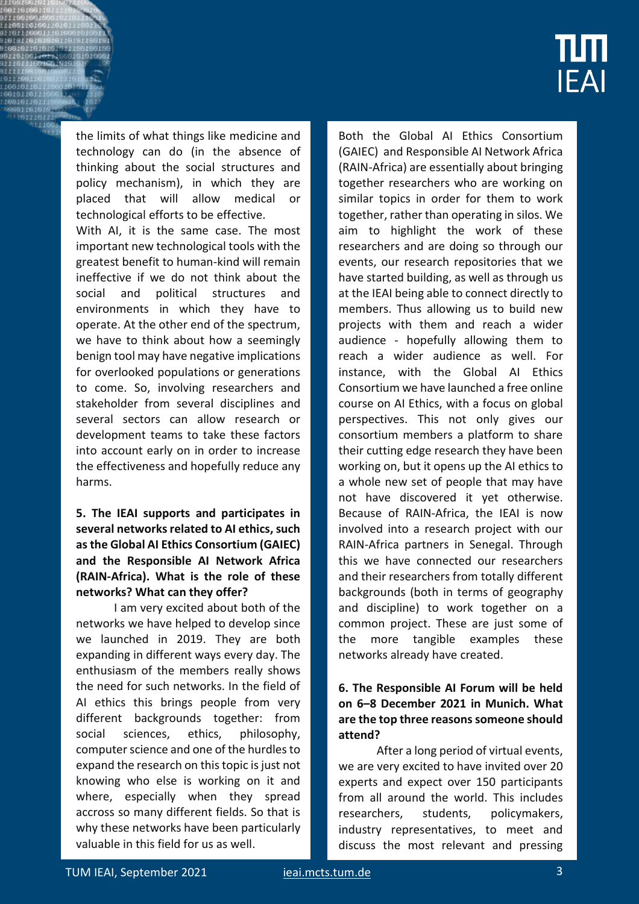# īШ **IEAI**

the limits of what things like medicine and technology can do (in the absence of thinking about the social structures and policy mechanism), in which they are placed that will allow medical or technological efforts to be effective.

With AI, it is the same case. The most important new technological tools with the greatest benefit to human-kind will remain ineffective if we do not think about the social and political structures and environments in which they have to operate. At the other end of the spectrum, we have to think about how a seemingly benign tool may have negative implications for overlooked populations or generations to come. So, involving researchers and stakeholder from several disciplines and several sectors can allow research or development teams to take these factors into account early on in order to increase the effectiveness and hopefully reduce any harms.

### **5. The IEAI supports and participates in several networks related to AI ethics, such as the Global AI Ethics Consortium (GAIEC) and the Responsible AI Network Africa (RAIN-Africa). What is the role of these networks? What can they offer?**

I am very excited about both of the networks we have helped to develop since we launched in 2019. They are both expanding in different ways every day. The enthusiasm of the members really shows the need for such networks. In the field of AI ethics this brings people from very different backgrounds together: from social sciences, ethics, philosophy, computer science and one of the hurdles to expand the research on this topic is just not knowing who else is working on it and where, especially when they spread accross so many different fields. So that is why these networks have been particularly valuable in this field for us as well.

Both the Global AI Ethics Consortium (GAIEC) and Responsible AI Network Africa (RAIN-Africa) are essentially about bringing together researchers who are working on similar topics in order for them to work together, rather than operating in silos. We aim to highlight the work of these researchers and are doing so through our events, our research repositories that we have started building, as well as through us at the IEAI being able to connect directly to members. Thus allowing us to build new projects with them and reach a wider audience - hopefully allowing them to reach a wider audience as well. For instance, with the Global AI Ethics Consortium we have launched a free online course on AI Ethics, with a focus on global perspectives. This not only gives our consortium members a platform to share their cutting edge research they have been working on, but it opens up the AI ethics to a whole new set of people that may have not have discovered it yet otherwise. Because of RAIN-Africa, the IEAI is now involved into a research project with our RAIN-Africa partners in Senegal. Through this we have connected our researchers and their researchers from totally different backgrounds (both in terms of geography and discipline) to work together on a common project. These are just some of the more tangible examples these networks already have created.

### **6. The Responsible AI Forum will be held on 6–8 December 2021 in Munich. What are the top three reasons someone should attend?**

After a long period of virtual events, we are very excited to have invited over 20 experts and expect over 150 participants from all around the world. This includes researchers, students, policymakers, industry representatives, to meet and discuss the most relevant and pressing